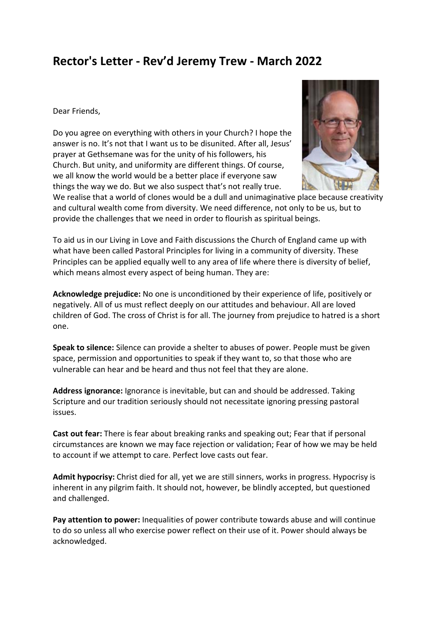## **Rector's Letter - Rev'd Jeremy Trew - March 2022**

Dear Friends,

Do you agree on everything with others in your Church? I hope the answer is no. It's not that I want us to be disunited. After all, Jesus' prayer at Gethsemane was for the unity of his followers, his Church. But unity, and uniformity are different things. Of course, we all know the world would be a better place if everyone saw things the way we do. But we also suspect that's not really true.



We realise that a world of clones would be a dull and unimaginative place because creativity and cultural wealth come from diversity. We need difference, not only to be us, but to provide the challenges that we need in order to flourish as spiritual beings.

To aid us in our Living in Love and Faith discussions the Church of England came up with what have been called Pastoral Principles for living in a community of diversity. These Principles can be applied equally well to any area of life where there is diversity of belief, which means almost every aspect of being human. They are:

**Acknowledge prejudice:** No one is unconditioned by their experience of life, positively or negatively. All of us must reflect deeply on our attitudes and behaviour. All are loved children of God. The cross of Christ is for all. The journey from prejudice to hatred is a short one.

**Speak to silence:** Silence can provide a shelter to abuses of power. People must be given space, permission and opportunities to speak if they want to, so that those who are vulnerable can hear and be heard and thus not feel that they are alone.

**Address ignorance:** Ignorance is inevitable, but can and should be addressed. Taking Scripture and our tradition seriously should not necessitate ignoring pressing pastoral issues.

**Cast out fear:** There is fear about breaking ranks and speaking out; Fear that if personal circumstances are known we may face rejection or validation; Fear of how we may be held to account if we attempt to care. Perfect love casts out fear.

**Admit hypocrisy:** Christ died for all, yet we are still sinners, works in progress. Hypocrisy is inherent in any pilgrim faith. It should not, however, be blindly accepted, but questioned and challenged.

**Pay attention to power:** Inequalities of power contribute towards abuse and will continue to do so unless all who exercise power reflect on their use of it. Power should always be acknowledged.